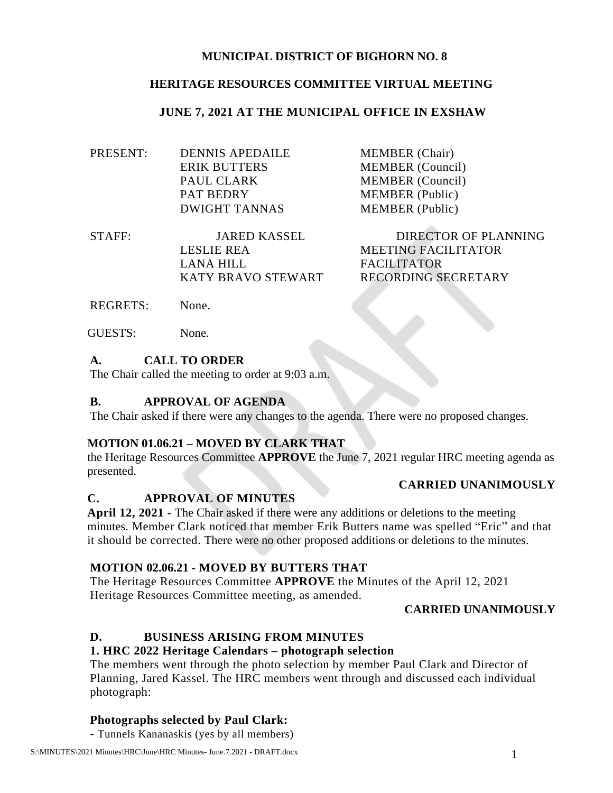### **MUNICIPAL DISTRICT OF BIGHORN NO. 8**

### **HERITAGE RESOURCES COMMITTEE VIRTUAL MEETING**

#### **JUNE 7, 2021 AT THE MUNICIPAL OFFICE IN EXSHAW**

| DENNIS APEDAILE      | <b>MEMBER</b> (Chair)   |
|----------------------|-------------------------|
| <b>ERIK BUTTERS</b>  | <b>MEMBER</b> (Council) |
| PAUL CLARK           | <b>MEMBER</b> (Council) |
| <b>PAT BEDRY</b>     | <b>MEMBER</b> (Public)  |
| <b>DWIGHT TANNAS</b> | <b>MEMBER</b> (Public)  |
|                      |                         |

STAFF: JARED KASSEL DIRECTOR OF PLANNING LESLIE REA MEETING FACILITATOR LANA HILL FACILITATOR KATY BRAVO STEWART RECORDING SECRETARY

REGRETS: None.

GUESTS: None.

### **A. CALL TO ORDER**

The Chair called the meeting to order at 9:03 a.m.

### **B. APPROVAL OF AGENDA**

The Chair asked if there were any changes to the agenda. There were no proposed changes.

#### **MOTION 01.06.21 – MOVED BY CLARK THAT**

the Heritage Resources Committee **APPROVE** the June 7, 2021 regular HRC meeting agenda as presented.

#### **CARRIED UNANIMOUSLY**

#### **C. APPROVAL OF MINUTES**

**April 12, 2021** - The Chair asked if there were any additions or deletions to the meeting minutes. Member Clark noticed that member Erik Butters name was spelled "Eric" and that it should be corrected. There were no other proposed additions or deletions to the minutes.

## **MOTION 02.06.21 - MOVED BY BUTTERS THAT**

The Heritage Resources Committee **APPROVE** the Minutes of the April 12, 2021 Heritage Resources Committee meeting, as amended.

## **CARRIED UNANIMOUSLY**

## **D. BUSINESS ARISING FROM MINUTES**

## **1. HRC 2022 Heritage Calendars – photograph selection**

The members went through the photo selection by member Paul Clark and Director of Planning, Jared Kassel. The HRC members went through and discussed each individual photograph:

#### **Photographs selected by Paul Clark:**

- Tunnels Kananaskis (yes by all members)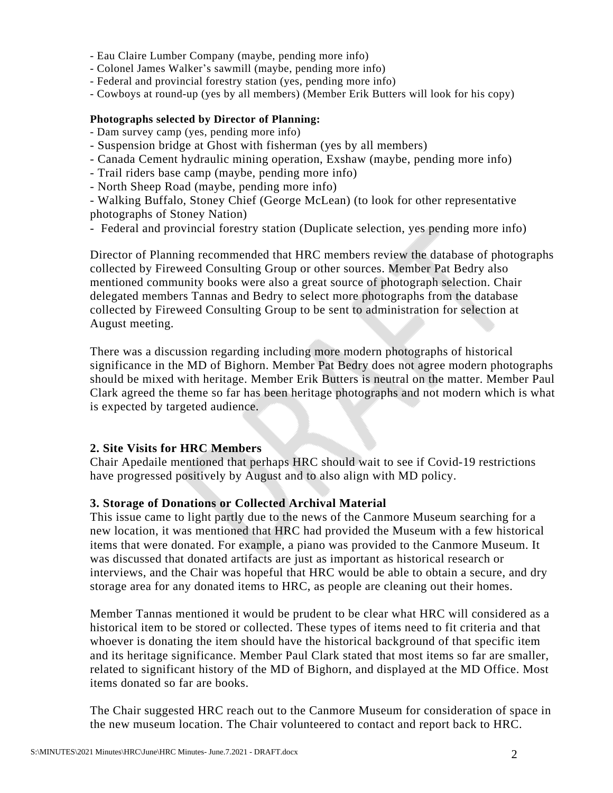- Eau Claire Lumber Company (maybe, pending more info)
- Colonel James Walker's sawmill (maybe, pending more info)
- Federal and provincial forestry station (yes, pending more info)
- Cowboys at round-up (yes by all members) (Member Erik Butters will look for his copy)

#### **Photographs selected by Director of Planning:**

- Dam survey camp (yes, pending more info)
- Suspension bridge at Ghost with fisherman (yes by all members)
- Canada Cement hydraulic mining operation, Exshaw (maybe, pending more info)
- Trail riders base camp (maybe, pending more info)
- North Sheep Road (maybe, pending more info)

- Walking Buffalo, Stoney Chief (George McLean) (to look for other representative photographs of Stoney Nation)

- Federal and provincial forestry station (Duplicate selection, yes pending more info)

Director of Planning recommended that HRC members review the database of photographs collected by Fireweed Consulting Group or other sources. Member Pat Bedry also mentioned community books were also a great source of photograph selection. Chair delegated members Tannas and Bedry to select more photographs from the database collected by Fireweed Consulting Group to be sent to administration for selection at August meeting.

There was a discussion regarding including more modern photographs of historical significance in the MD of Bighorn. Member Pat Bedry does not agree modern photographs should be mixed with heritage. Member Erik Butters is neutral on the matter. Member Paul Clark agreed the theme so far has been heritage photographs and not modern which is what is expected by targeted audience.

#### **2. Site Visits for HRC Members**

Chair Apedaile mentioned that perhaps HRC should wait to see if Covid-19 restrictions have progressed positively by August and to also align with MD policy.

#### **3. Storage of Donations or Collected Archival Material**

This issue came to light partly due to the news of the Canmore Museum searching for a new location, it was mentioned that HRC had provided the Museum with a few historical items that were donated. For example, a piano was provided to the Canmore Museum. It was discussed that donated artifacts are just as important as historical research or interviews, and the Chair was hopeful that HRC would be able to obtain a secure, and dry storage area for any donated items to HRC, as people are cleaning out their homes.

Member Tannas mentioned it would be prudent to be clear what HRC will considered as a historical item to be stored or collected. These types of items need to fit criteria and that whoever is donating the item should have the historical background of that specific item and its heritage significance. Member Paul Clark stated that most items so far are smaller, related to significant history of the MD of Bighorn, and displayed at the MD Office. Most items donated so far are books.

The Chair suggested HRC reach out to the Canmore Museum for consideration of space in the new museum location. The Chair volunteered to contact and report back to HRC.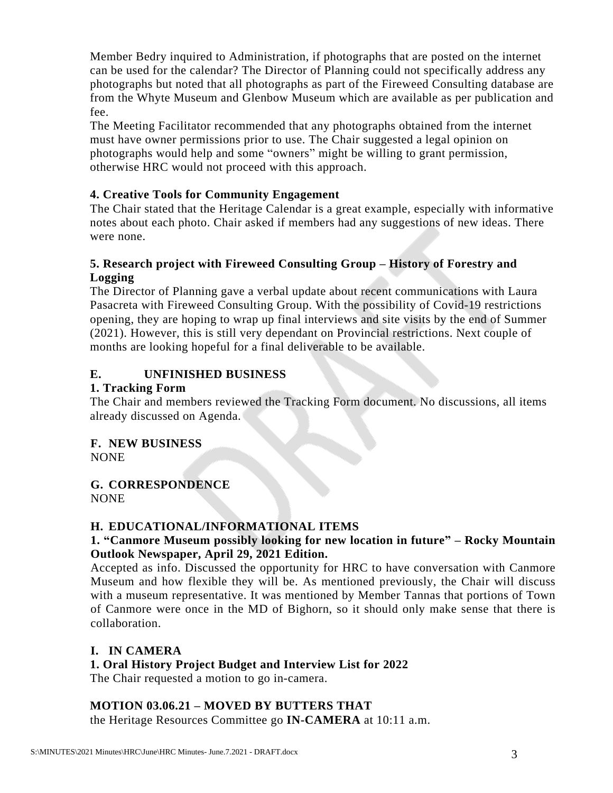Member Bedry inquired to Administration, if photographs that are posted on the internet can be used for the calendar? The Director of Planning could not specifically address any photographs but noted that all photographs as part of the Fireweed Consulting database are from the Whyte Museum and Glenbow Museum which are available as per publication and fee.

The Meeting Facilitator recommended that any photographs obtained from the internet must have owner permissions prior to use. The Chair suggested a legal opinion on photographs would help and some "owners" might be willing to grant permission, otherwise HRC would not proceed with this approach.

### **4. Creative Tools for Community Engagement**

The Chair stated that the Heritage Calendar is a great example, especially with informative notes about each photo. Chair asked if members had any suggestions of new ideas. There were none.

## **5. Research project with Fireweed Consulting Group – History of Forestry and Logging**

The Director of Planning gave a verbal update about recent communications with Laura Pasacreta with Fireweed Consulting Group. With the possibility of Covid-19 restrictions opening, they are hoping to wrap up final interviews and site visits by the end of Summer (2021). However, this is still very dependant on Provincial restrictions. Next couple of months are looking hopeful for a final deliverable to be available.

## **E. UNFINISHED BUSINESS**

### **1. Tracking Form**

The Chair and members reviewed the Tracking Form document. No discussions, all items already discussed on Agenda.

# **F. NEW BUSINESS**

NONE

#### **G. CORRESPONDENCE** NONE

## **H. EDUCATIONAL/INFORMATIONAL ITEMS**

## **1. "Canmore Museum possibly looking for new location in future" – Rocky Mountain Outlook Newspaper, April 29, 2021 Edition.**

Accepted as info. Discussed the opportunity for HRC to have conversation with Canmore Museum and how flexible they will be. As mentioned previously, the Chair will discuss with a museum representative. It was mentioned by Member Tannas that portions of Town of Canmore were once in the MD of Bighorn, so it should only make sense that there is collaboration.

## **I. IN CAMERA**

## **1. Oral History Project Budget and Interview List for 2022**

The Chair requested a motion to go in-camera.

#### **MOTION 03.06.21 – MOVED BY BUTTERS THAT**

the Heritage Resources Committee go **IN-CAMERA** at 10:11 a.m.